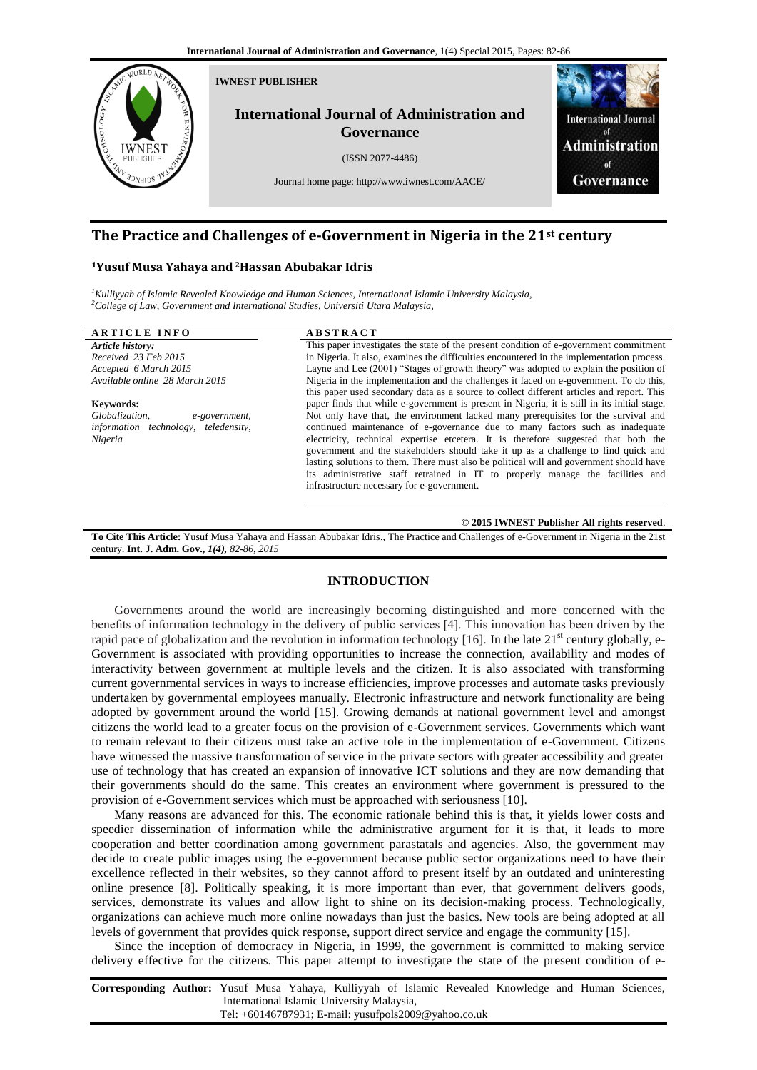

# **The Practice and Challenges of e-Government in Nigeria in the 21st century**

## **<sup>1</sup>Yusuf Musa Yahaya and <sup>2</sup>Hassan Abubakar Idris**

*<sup>1</sup>Kulliyyah of Islamic Revealed Knowledge and Human Sciences, International Islamic University Malaysia, <sup>2</sup>College of Law, Government and International Studies, Universiti Utara Malaysia,* 

## **A R T I C L E I N F O A B S T R A C T**

*Article history: Received 23 Feb 2015 Accepted 6 March 2015 Available online 28 March 2015*

## **Keywords:**

*Globalization, e-government, information technology, teledensity, Nigeria*

This paper investigates the state of the present condition of e-government commitment in Nigeria. It also, examines the difficulties encountered in the implementation process. Layne and Lee (2001) "Stages of growth theory" was adopted to explain the position of Nigeria in the implementation and the challenges it faced on e-government. To do this, this paper used secondary data as a source to collect different articles and report. This paper finds that while e-government is present in Nigeria, it is still in its initial stage. Not only have that, the environment lacked many prerequisites for the survival and continued maintenance of e-governance due to many factors such as inadequate electricity, technical expertise etcetera. It is therefore suggested that both the government and the stakeholders should take it up as a challenge to find quick and lasting solutions to them. There must also be political will and government should have its administrative staff retrained in IT to properly manage the facilities and infrastructure necessary for e-government.

## **© 2015 IWNEST Publisher All rights reserved**.

**To Cite This Article:** Yusuf Musa Yahaya and Hassan Abubakar Idris., The Practice and Challenges of e-Government in Nigeria in the 21st century. **Int. J. Adm. Gov.,** *1(4), 82-86, 2015*

## **INTRODUCTION**

Governments around the world are increasingly becoming distinguished and more concerned with the benefits of information technology in the delivery of public services [4]. This innovation has been driven by the rapid pace of globalization and the revolution in information technology  $[16]$ . In the late  $21<sup>st</sup>$  century globally, e-Government is associated with providing opportunities to increase the connection, availability and modes of interactivity between government at multiple levels and the citizen. It is also associated with transforming current governmental services in ways to increase efficiencies, improve processes and automate tasks previously undertaken by governmental employees manually. Electronic infrastructure and network functionality are being adopted by government around the world [15]. Growing demands at national government level and amongst citizens the world lead to a greater focus on the provision of e-Government services. Governments which want to remain relevant to their citizens must take an active role in the implementation of e-Government. Citizens have witnessed the massive transformation of service in the private sectors with greater accessibility and greater use of technology that has created an expansion of innovative ICT solutions and they are now demanding that their governments should do the same. This creates an environment where government is pressured to the provision of e-Government services which must be approached with seriousness [10].

Many reasons are advanced for this. The economic rationale behind this is that, it yields lower costs and speedier dissemination of information while the administrative argument for it is that, it leads to more cooperation and better coordination among government parastatals and agencies. Also, the government may decide to create public images using the e-government because public sector organizations need to have their excellence reflected in their websites, so they cannot afford to present itself by an outdated and uninteresting online presence [8]. Politically speaking, it is more important than ever, that government delivers goods, services, demonstrate its values and allow light to shine on its decision-making process. Technologically, organizations can achieve much more online nowadays than just the basics. New tools are being adopted at all levels of government that provides quick response, support direct service and engage the community [15].

Since the inception of democracy in Nigeria, in 1999, the government is committed to making service delivery effective for the citizens. This paper attempt to investigate the state of the present condition of e-

**Corresponding Author:** Yusuf Musa Yahaya, Kulliyyah of Islamic Revealed Knowledge and Human Sciences, International Islamic University Malaysia, Tel: +60146787931; E**-**mail: yusufpols2009@yahoo.co.uk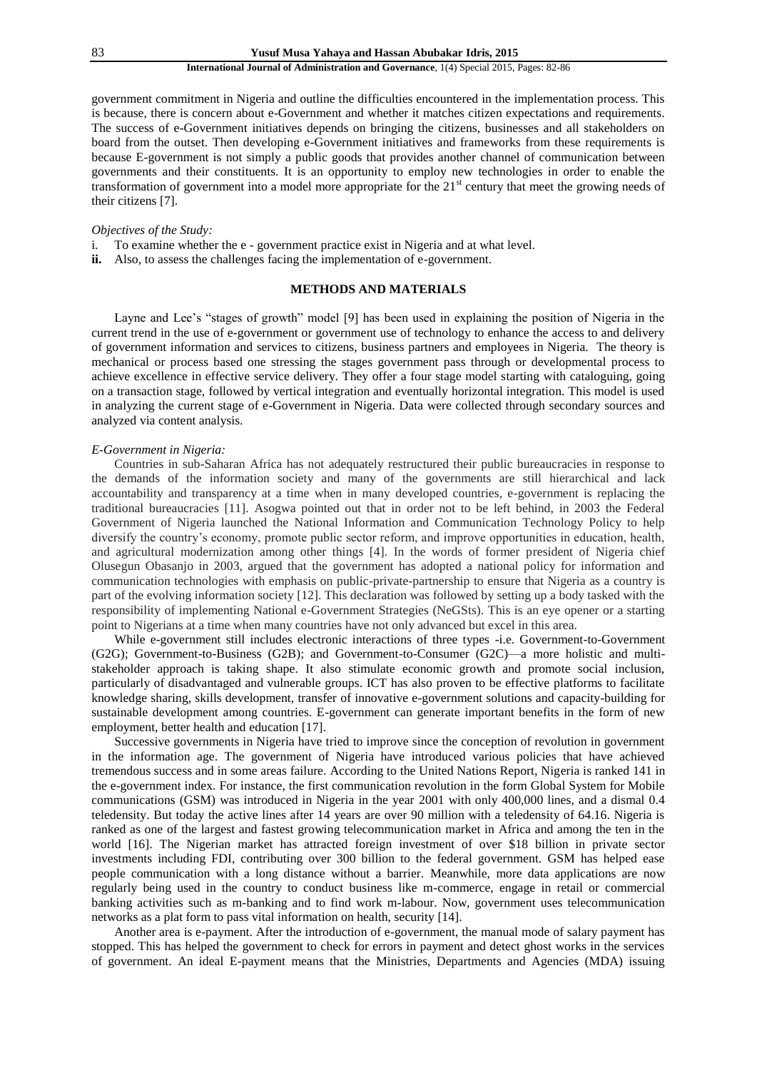government commitment in Nigeria and outline the difficulties encountered in the implementation process. This is because, there is concern about e-Government and whether it matches citizen expectations and requirements. The success of e-Government initiatives depends on bringing the citizens, businesses and all stakeholders on board from the outset. Then developing e-Government initiatives and frameworks from these requirements is because E-government is not simply a public goods that provides another channel of communication between governments and their constituents. It is an opportunity to employ new technologies in order to enable the transformation of government into a model more appropriate for the 21<sup>st</sup> century that meet the growing needs of their citizens [7].

## *Objectives of the Study:*

- i. To examine whether the e government practice exist in Nigeria and at what level.
- **ii.** Also, to assess the challenges facing the implementation of e-government.

## **METHODS AND MATERIALS**

Layne and Lee's "stages of growth" model [9] has been used in explaining the position of Nigeria in the current trend in the use of e-government or government use of technology to enhance the access to and delivery of government information and services to citizens, business partners and employees in Nigeria. The theory is mechanical or process based one stressing the stages government pass through or developmental process to achieve excellence in effective service delivery. They offer a four stage model starting with cataloguing, going on a transaction stage, followed by vertical integration and eventually horizontal integration. This model is used in analyzing the current stage of e-Government in Nigeria. Data were collected through secondary sources and analyzed via content analysis.

## *E-Government in Nigeria:*

Countries in sub-Saharan Africa has not adequately restructured their public bureaucracies in response to the demands of the information society and many of the governments are still hierarchical and lack accountability and transparency at a time when in many developed countries, e-government is replacing the traditional bureaucracies [11]. Asogwa pointed out that in order not to be left behind, in 2003 the Federal Government of Nigeria launched the National Information and Communication Technology Policy to help diversify the country"s economy, promote public sector reform, and improve opportunities in education, health, and agricultural modernization among other things [4]. In the words of former president of Nigeria chief Olusegun Obasanjo in 2003, argued that the government has adopted a national policy for information and communication technologies with emphasis on public-private-partnership to ensure that Nigeria as a country is part of the evolving information society [12]. This declaration was followed by setting up a body tasked with the responsibility of implementing National e-Government Strategies (NeGSts). This is an eye opener or a starting point to Nigerians at a time when many countries have not only advanced but excel in this area.

While e-government still includes electronic interactions of three types -i.e. Government-to-Government (G2G); Government-to-Business (G2B); and Government-to-Consumer (G2C)—a more holistic and multistakeholder approach is taking shape. It also stimulate economic growth and promote social inclusion, particularly of disadvantaged and vulnerable groups. ICT has also proven to be effective platforms to facilitate knowledge sharing, skills development, transfer of innovative e-government solutions and capacity-building for sustainable development among countries. E-government can generate important benefits in the form of new employment, better health and education [17].

Successive governments in Nigeria have tried to improve since the conception of revolution in government in the information age. The government of Nigeria have introduced various policies that have achieved tremendous success and in some areas failure. According to the United Nations Report, Nigeria is ranked 141 in the e-government index. For instance, the first communication revolution in the form Global System for Mobile communications (GSM) was introduced in Nigeria in the year 2001 with only 400,000 lines, and a dismal 0.4 teledensity. But today the active lines after 14 years are over 90 million with a teledensity of 64.16. Nigeria is ranked as one of the largest and fastest growing telecommunication market in Africa and among the ten in the world [16]. The Nigerian market has attracted foreign investment of over \$18 billion in private sector investments including FDI, contributing over 300 billion to the federal government. GSM has helped ease people communication with a long distance without a barrier. Meanwhile, more data applications are now regularly being used in the country to conduct business like m-commerce, engage in retail or commercial banking activities such as m-banking and to find work m-labour. Now, government uses telecommunication networks as a plat form to pass vital information on health, security [14].

Another area is e-payment. After the introduction of e-government, the manual mode of salary payment has stopped. This has helped the government to check for errors in payment and detect ghost works in the services of government. An ideal E-payment means that the Ministries, Departments and Agencies (MDA) issuing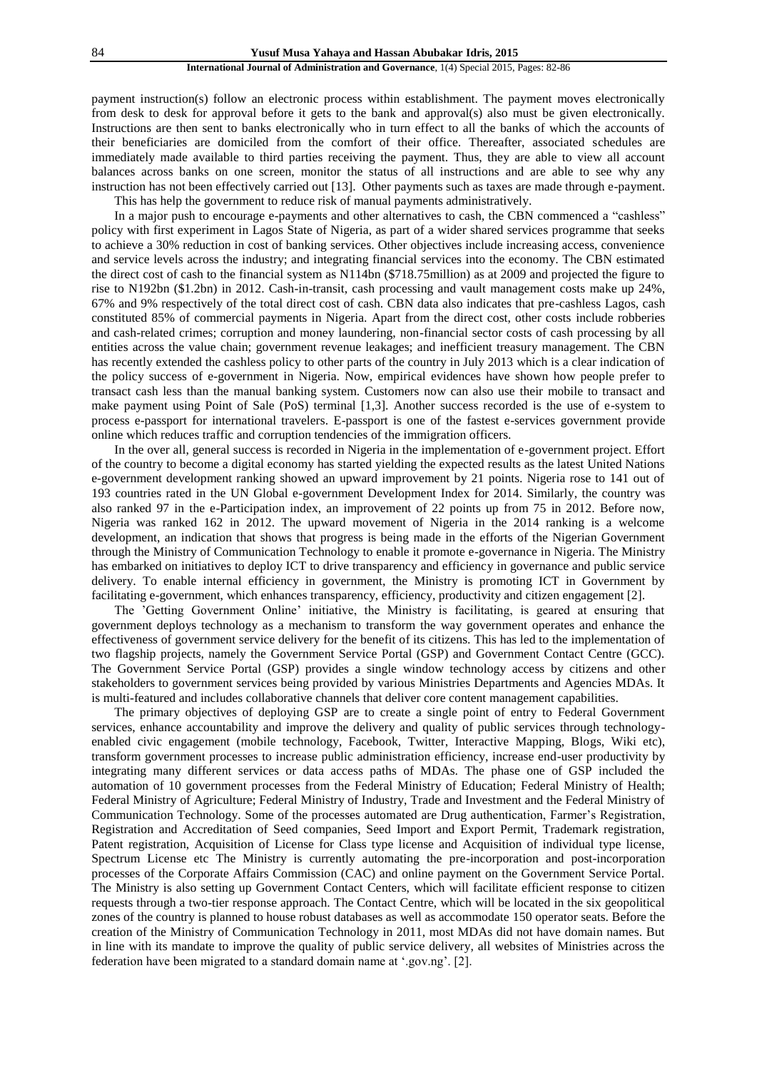payment instruction(s) follow an electronic process within establishment. The payment moves electronically from desk to desk for approval before it gets to the bank and approval(s) also must be given electronically. Instructions are then sent to banks electronically who in turn effect to all the banks of which the accounts of their beneficiaries are domiciled from the comfort of their office. Thereafter, associated schedules are immediately made available to third parties receiving the payment. Thus, they are able to view all account balances across banks on one screen, monitor the status of all instructions and are able to see why any instruction has not been effectively carried out [13]. Other payments such as taxes are made through e-payment.

This has help the government to reduce risk of manual payments administratively.

In a major push to encourage e-payments and other alternatives to cash, the CBN commenced a "cashless" policy with first experiment in Lagos State of Nigeria, as part of a wider shared services programme that seeks to achieve a 30% reduction in cost of banking services. Other objectives include increasing access, convenience and service levels across the industry; and integrating financial services into the economy. The CBN estimated the direct cost of cash to the financial system as N114bn (\$718.75million) as at 2009 and projected the figure to rise to N192bn (\$1.2bn) in 2012. Cash-in-transit, cash processing and vault management costs make up 24%, 67% and 9% respectively of the total direct cost of cash. CBN data also indicates that pre-cashless Lagos, cash constituted 85% of commercial payments in Nigeria. Apart from the direct cost, other costs include robberies and cash-related crimes; corruption and money laundering, non-financial sector costs of cash processing by all entities across the value chain; government revenue leakages; and inefficient treasury management. The CBN has recently extended the cashless policy to other parts of the country in July 2013 which is a clear indication of the policy success of e-government in Nigeria. Now, empirical evidences have shown how people prefer to transact cash less than the manual banking system. Customers now can also use their mobile to transact and make payment using Point of Sale (PoS) terminal [1,3]. Another success recorded is the use of e-system to process e-passport for international travelers. E-passport is one of the fastest e-services government provide online which reduces traffic and corruption tendencies of the immigration officers.

In the over all, general success is recorded in Nigeria in the implementation of e-government project. Effort of the country to become a digital economy has started yielding the expected results as the latest United Nations e-government development ranking showed an upward improvement by 21 points. Nigeria rose to 141 out of 193 countries rated in the UN Global e-government Development Index for 2014. Similarly, the country was also ranked 97 in the e-Participation index, an improvement of 22 points up from 75 in 2012. Before now, Nigeria was ranked 162 in 2012. The upward movement of Nigeria in the 2014 ranking is a welcome development, an indication that shows that progress is being made in the efforts of the Nigerian Government through the Ministry of Communication Technology to enable it promote e-governance in Nigeria. The Ministry has embarked on initiatives to deploy ICT to drive transparency and efficiency in governance and public service delivery. To enable internal efficiency in government, the Ministry is promoting ICT in Government by facilitating e-government, which enhances transparency, efficiency, productivity and citizen engagement [2].

The "Getting Government Online" initiative, the Ministry is facilitating, is geared at ensuring that government deploys technology as a mechanism to transform the way government operates and enhance the effectiveness of government service delivery for the benefit of its citizens. This has led to the implementation of two flagship projects, namely the Government Service Portal (GSP) and Government Contact Centre (GCC). The Government Service Portal (GSP) provides a single window technology access by citizens and other stakeholders to government services being provided by various Ministries Departments and Agencies MDAs. It is multi-featured and includes collaborative channels that deliver core content management capabilities.

The primary objectives of deploying GSP are to create a single point of entry to Federal Government services, enhance accountability and improve the delivery and quality of public services through technologyenabled civic engagement (mobile technology, Facebook, Twitter, Interactive Mapping, Blogs, Wiki etc), transform government processes to increase public administration efficiency, increase end-user productivity by integrating many different services or data access paths of MDAs. The phase one of GSP included the automation of 10 government processes from the Federal Ministry of Education; Federal Ministry of Health; Federal Ministry of Agriculture; Federal Ministry of Industry, Trade and Investment and the Federal Ministry of Communication Technology. Some of the processes automated are Drug authentication, Farmer"s Registration, Registration and Accreditation of Seed companies, Seed Import and Export Permit, Trademark registration, Patent registration, Acquisition of License for Class type license and Acquisition of individual type license, Spectrum License etc The Ministry is currently automating the pre-incorporation and post-incorporation processes of the Corporate Affairs Commission (CAC) and online payment on the Government Service Portal. The Ministry is also setting up Government Contact Centers, which will facilitate efficient response to citizen requests through a two-tier response approach. The Contact Centre, which will be located in the six geopolitical zones of the country is planned to house robust databases as well as accommodate 150 operator seats. Before the creation of the Ministry of Communication Technology in 2011, most MDAs did not have domain names. But in line with its mandate to improve the quality of public service delivery, all websites of Ministries across the federation have been migrated to a standard domain name at ".gov.ng". [2].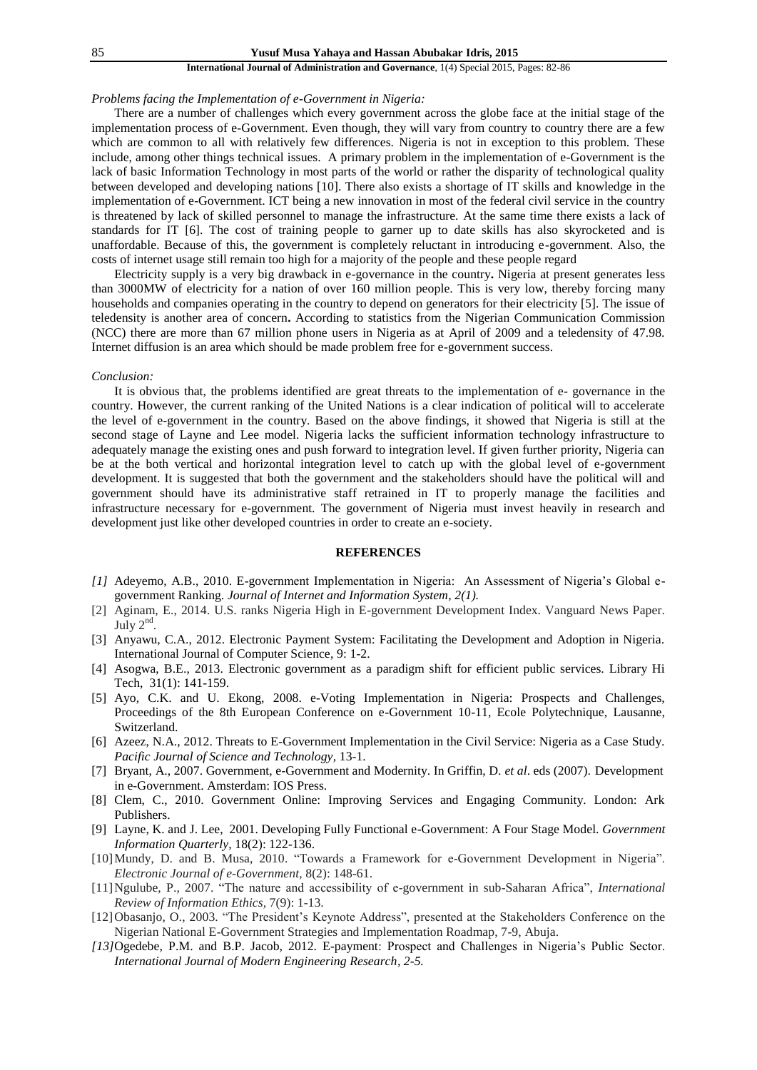## *Problems facing the Implementation of e-Government in Nigeria:*

There are a number of challenges which every government across the globe face at the initial stage of the implementation process of e-Government. Even though, they will vary from country to country there are a few which are common to all with relatively few differences. Nigeria is not in exception to this problem. These include, among other things technical issues. A primary problem in the implementation of e-Government is the lack of basic Information Technology in most parts of the world or rather the disparity of technological quality between developed and developing nations [10]. There also exists a shortage of IT skills and knowledge in the implementation of e-Government. ICT being a new innovation in most of the federal civil service in the country is threatened by lack of skilled personnel to manage the infrastructure. At the same time there exists a lack of standards for IT [6]. The cost of training people to garner up to date skills has also skyrocketed and is unaffordable. Because of this, the government is completely reluctant in introducing e-government. Also, the costs of internet usage still remain too high for a majority of the people and these people regard

Electricity supply is a very big drawback in e-governance in the country**.** Nigeria at present generates less than 3000MW of electricity for a nation of over 160 million people. This is very low, thereby forcing many households and companies operating in the country to depend on generators for their electricity [5]. The issue of teledensity is another area of concern**.** According to statistics from the Nigerian Communication Commission (NCC) there are more than 67 million phone users in Nigeria as at April of 2009 and a teledensity of 47.98. Internet diffusion is an area which should be made problem free for e-government success.

#### *Conclusion:*

It is obvious that, the problems identified are great threats to the implementation of e- governance in the country. However, the current ranking of the United Nations is a clear indication of political will to accelerate the level of e-government in the country. Based on the above findings, it showed that Nigeria is still at the second stage of Layne and Lee model. Nigeria lacks the sufficient information technology infrastructure to adequately manage the existing ones and push forward to integration level. If given further priority, Nigeria can be at the both vertical and horizontal integration level to catch up with the global level of e-government development. It is suggested that both the government and the stakeholders should have the political will and government should have its administrative staff retrained in IT to properly manage the facilities and infrastructure necessary for e-government. The government of Nigeria must invest heavily in research and development just like other developed countries in order to create an e-society.

## **REFERENCES**

- *[1]* Adeyemo, A.B., 2010. E-government Implementation in Nigeria: An Assessment of Nigeria"s Global egovernment Ranking. *Journal of Internet and Information System, 2(1).*
- [2] Aginam, E., 2014. U.S. ranks Nigeria High in E-government Development Index. Vanguard News Paper. July  $2<sup>nd</sup>$ .
- [3] Anyawu, C.A., 2012. Electronic Payment System: Facilitating the Development and Adoption in Nigeria. International Journal of Computer Science, 9: 1-2.
- [4] Asogwa, B.E., 2013. Electronic government as a paradigm shift for efficient public services. Library Hi Tech, 31(1): 141-159.
- [5] Ayo, C.K. and U. Ekong, 2008. e-Voting Implementation in Nigeria: Prospects and Challenges, Proceedings of the 8th European Conference on e-Government 10-11, Ecole Polytechnique, Lausanne, Switzerland.
- [6] Azeez, N.A., 2012. Threats to E-Government Implementation in the Civil Service: Nigeria as a Case Study. *Pacific Journal of Science and Technology,* 13-1.
- [7] Bryant, A., 2007. Government, e-Government and Modernity. In Griffin, D. *et al*. eds (2007). Development in e-Government. Amsterdam: IOS Press.
- [8] Clem, C., 2010. Government Online: Improving Services and Engaging Community. London: Ark Publishers.
- [9] Layne, K. and J. Lee, 2001. Developing Fully Functional e-Government: A Four Stage Model. *Government Information Quarterly,* 18(2): 122-136.
- [10]Mundy, D. and B. Musa, 2010. "Towards a Framework for e-Government Development in Nigeria". *Electronic Journal of e-Government,* 8(2): 148-61.
- [11]Ngulube, P., 2007. "The nature and accessibility of e-government in sub-Saharan Africa", *International Review of Information Ethics,* 7(9): 1-13.
- [12] Obasanjo, O., 2003. "The President's Keynote Address", presented at the Stakeholders Conference on the Nigerian National E-Government Strategies and Implementation Roadmap, 7-9, Abuja.
- *[13]*Ogedebe, P.M. and B.P. Jacob, 2012. E-payment: Prospect and Challenges in Nigeria"s Public Sector. *International Journal of Modern Engineering Research, 2-5.*